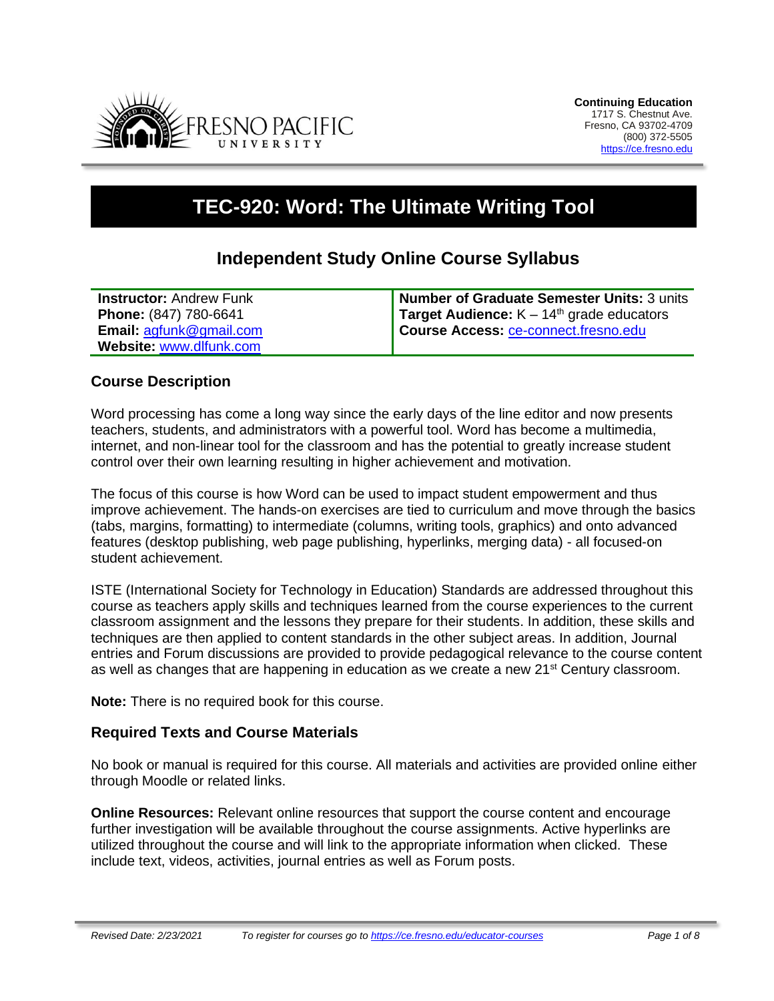

# **TEC-920: Word: The Ultimate Writing Tool**

# **Independent Study Online Course Syllabus**

| <b>Instructor: Andrew Funk</b> | Number of Graduate Semester Units: 3 units         |
|--------------------------------|----------------------------------------------------|
| Phone: (847) 780-6641          | <b>Target Audience:</b> $K - 14th$ grade educators |
| <b>Email: agfunk@gmail.com</b> | Course Access: ce-connect.fresno.edu               |
| Website: www.dlfunk.com        |                                                    |

#### **Course Description**

Word processing has come a long way since the early days of the line editor and now presents teachers, students, and administrators with a powerful tool. Word has become a multimedia, internet, and non-linear tool for the classroom and has the potential to greatly increase student control over their own learning resulting in higher achievement and motivation.

The focus of this course is how Word can be used to impact student empowerment and thus improve achievement. The hands-on exercises are tied to curriculum and move through the basics (tabs, margins, formatting) to intermediate (columns, writing tools, graphics) and onto advanced features (desktop publishing, web page publishing, hyperlinks, merging data) - all focused-on student achievement.

ISTE (International Society for Technology in Education) Standards are addressed throughout this course as teachers apply skills and techniques learned from the course experiences to the current classroom assignment and the lessons they prepare for their students. In addition, these skills and techniques are then applied to content standards in the other subject areas. In addition, Journal entries and Forum discussions are provided to provide pedagogical relevance to the course content as well as changes that are happening in education as we create a new 21<sup>st</sup> Century classroom.

**Note:** There is no required book for this course.

#### **Required Texts and Course Materials**

No book or manual is required for this course. All materials and activities are provided online either through Moodle or related links.

**Online Resources:** Relevant online resources that support the course content and encourage further investigation will be available throughout the course assignments. Active hyperlinks are utilized throughout the course and will link to the appropriate information when clicked. These include text, videos, activities, journal entries as well as Forum posts.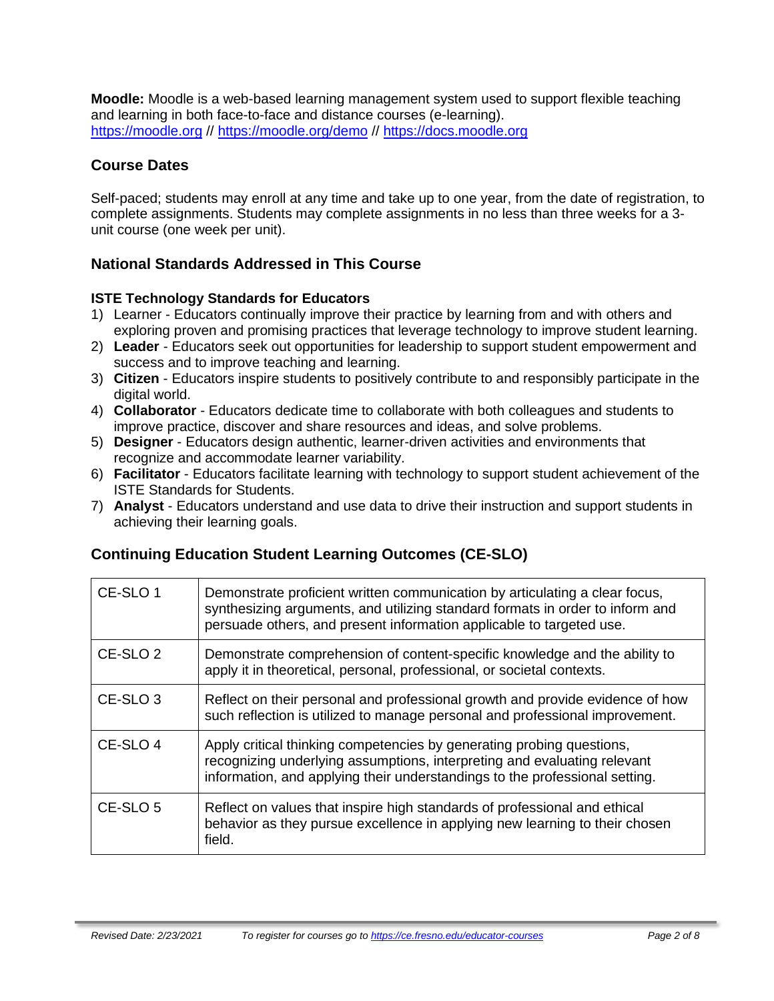**Moodle:** Moodle is a web-based learning management system used to support flexible teaching and learning in both face-to-face and distance courses (e-learning). [https://moodle.org](https://moodle.org/) // <https://moodle.org/demo> // [https://docs.moodle.org](https://docs.moodle.org/)

# **Course Dates**

Self-paced; students may enroll at any time and take up to one year, from the date of registration, to complete assignments. Students may complete assignments in no less than three weeks for a 3 unit course (one week per unit).

# **National Standards Addressed in This Course**

#### **ISTE Technology Standards for Educators**

- 1) Learner Educators continually improve their practice by learning from and with others and exploring proven and promising practices that leverage technology to improve student learning.
- 2) **Leader** Educators seek out opportunities for leadership to support student empowerment and success and to improve teaching and learning.
- 3) **Citizen** Educators inspire students to positively contribute to and responsibly participate in the digital world.
- 4) **Collaborator** Educators dedicate time to collaborate with both colleagues and students to improve practice, discover and share resources and ideas, and solve problems.
- 5) **Designer** Educators design authentic, learner-driven activities and environments that recognize and accommodate learner variability.
- 6) **Facilitator** Educators facilitate learning with technology to support student achievement of the ISTE Standards for Students.
- 7) **Analyst** Educators understand and use data to drive their instruction and support students in achieving their learning goals.

# **Continuing Education Student Learning Outcomes (CE-SLO)**

| CE-SLO 1            | Demonstrate proficient written communication by articulating a clear focus,<br>synthesizing arguments, and utilizing standard formats in order to inform and<br>persuade others, and present information applicable to targeted use. |
|---------------------|--------------------------------------------------------------------------------------------------------------------------------------------------------------------------------------------------------------------------------------|
| CE-SLO <sub>2</sub> | Demonstrate comprehension of content-specific knowledge and the ability to<br>apply it in theoretical, personal, professional, or societal contexts.                                                                                 |
| CE-SLO <sub>3</sub> | Reflect on their personal and professional growth and provide evidence of how<br>such reflection is utilized to manage personal and professional improvement.                                                                        |
| CE-SLO 4            | Apply critical thinking competencies by generating probing questions,<br>recognizing underlying assumptions, interpreting and evaluating relevant<br>information, and applying their understandings to the professional setting.     |
| CE-SLO <sub>5</sub> | Reflect on values that inspire high standards of professional and ethical<br>behavior as they pursue excellence in applying new learning to their chosen<br>field.                                                                   |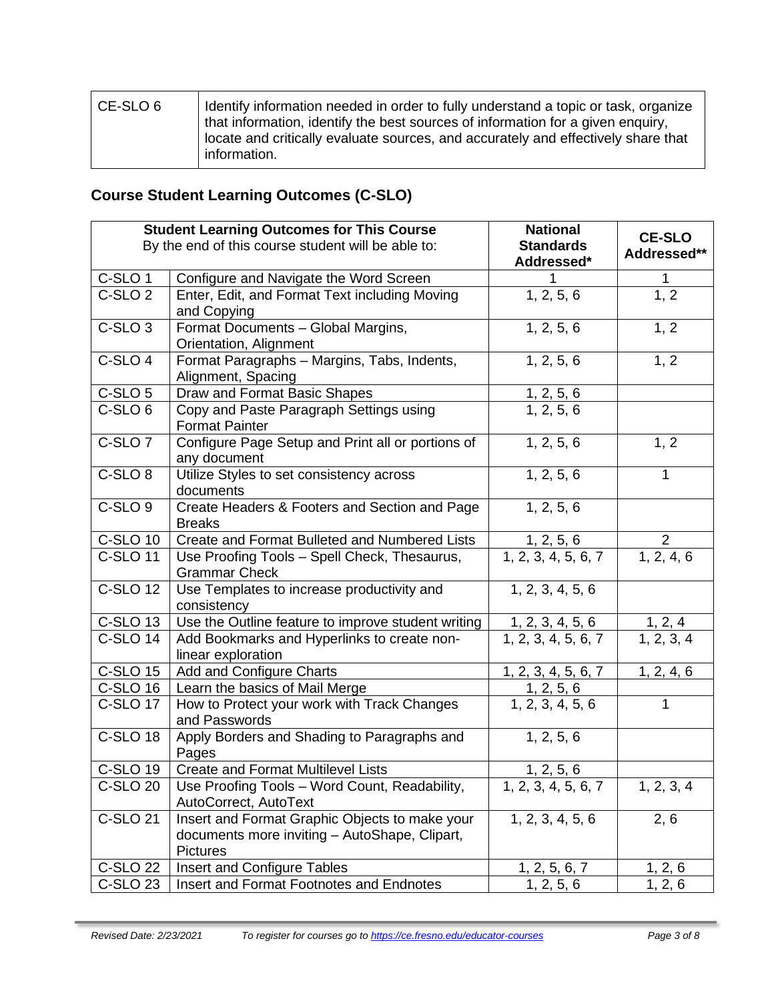| l CE-SLO 6 | I Identify information needed in order to fully understand a topic or task, organize                                                                                 |
|------------|----------------------------------------------------------------------------------------------------------------------------------------------------------------------|
|            | that information, identify the best sources of information for a given enguiry,<br>locate and critically evaluate sources, and accurately and effectively share that |
|            | information.                                                                                                                                                         |

# **Course Student Learning Outcomes (C-SLO)**

| <b>Student Learning Outcomes for This Course</b>   |                                                                                                                    | <b>National</b>                  |                              |
|----------------------------------------------------|--------------------------------------------------------------------------------------------------------------------|----------------------------------|------------------------------|
| By the end of this course student will be able to: |                                                                                                                    | <b>Standards</b><br>Addressed*   | <b>CE-SLO</b><br>Addressed** |
| C-SLO <sub>1</sub>                                 | Configure and Navigate the Word Screen                                                                             | 1                                | 1                            |
| $\overline{C}$ -SLO 2                              | Enter, Edit, and Format Text including Moving<br>and Copying                                                       | 1, 2, 5, 6                       | 1, 2                         |
| C-SLO <sub>3</sub>                                 | Format Documents - Global Margins,<br>Orientation, Alignment                                                       | 1, 2, 5, 6                       | 1, 2                         |
| C-SLO <sub>4</sub>                                 | Format Paragraphs - Margins, Tabs, Indents,<br>Alignment, Spacing                                                  | 1, 2, 5, 6                       | 1, 2                         |
| C-SLO <sub>5</sub>                                 | Draw and Format Basic Shapes                                                                                       |                                  |                              |
| C-SLO <sub>6</sub>                                 | Copy and Paste Paragraph Settings using<br><b>Format Painter</b>                                                   | $\frac{1, 2, 5, 6}{1, 2, 5, 6}$  |                              |
| C-SLO <sub>7</sub>                                 | Configure Page Setup and Print all or portions of<br>any document                                                  | 1, 2, 5, 6                       | 1, 2                         |
| C-SLO <sub>8</sub>                                 | Utilize Styles to set consistency across<br>documents                                                              | 1, 2, 5, 6                       | $\mathbf{1}$                 |
| C-SLO <sub>9</sub>                                 | Create Headers & Footers and Section and Page<br><b>Breaks</b>                                                     | 1, 2, 5, 6                       |                              |
| <b>C-SLO 10</b>                                    | Create and Format Bulleted and Numbered Lists                                                                      |                                  | 2                            |
| <b>C-SLO 11</b>                                    | $1, 2, 5, 6$<br>1, 2, 3, 4, 5, 6, 7<br>Use Proofing Tools - Spell Check, Thesaurus,<br><b>Grammar Check</b>        |                                  | $\overline{1, 2, 4, 6}$      |
| <b>C-SLO 12</b>                                    | Use Templates to increase productivity and<br>consistency                                                          | 1, 2, 3, 4, 5, 6                 |                              |
| <b>C-SLO 13</b>                                    | Use the Outline feature to improve student writing                                                                 | <u>1, 2, 3, 4, 5, 6</u>          | $\frac{1, 2, 4}{1, 2, 3, 4}$ |
| C-SLO 14                                           | Add Bookmarks and Hyperlinks to create non-<br>linear exploration                                                  | 1, 2, 3, 4, 5, 6, 7              |                              |
| $\overline{C}$ -SLO 15                             | Add and Configure Charts                                                                                           | 1, 2, 3, 4, 5, 6, 7              | 1, 2, 4, 6                   |
| C-SLO 16                                           | Learn the basics of Mail Merge                                                                                     | $1, 2, 5, 6$<br>1, 2, 3, 4, 5, 6 |                              |
| <b>C-SLO 17</b>                                    | How to Protect your work with Track Changes<br>and Passwords                                                       |                                  | $\mathbf{1}$                 |
| C-SLO 18                                           | Apply Borders and Shading to Paragraphs and<br>Pages                                                               | 1, 2, 5, 6                       |                              |
| <b>C-SLO 19</b>                                    | <b>Create and Format Multilevel Lists</b>                                                                          | 1, 2, 5, 6                       |                              |
| <b>C-SLO 20</b>                                    | Use Proofing Tools - Word Count, Readability,<br>AutoCorrect, AutoText                                             | 1, 2, 3, 4, 5, 6, 7              | 1, 2, 3, 4                   |
| <b>C-SLO 21</b>                                    | Insert and Format Graphic Objects to make your<br>documents more inviting - AutoShape, Clipart,<br><b>Pictures</b> | 1, 2, 3, 4, 5, 6                 | 2, 6                         |
| <b>C-SLO 22</b>                                    | Insert and Configure Tables                                                                                        | 1, 2, 5, 6, 7                    | 1, 2, 6                      |
| <b>C-SLO 23</b>                                    | Insert and Format Footnotes and Endnotes                                                                           | 1, 2, 5, 6                       | 1, 2, 6                      |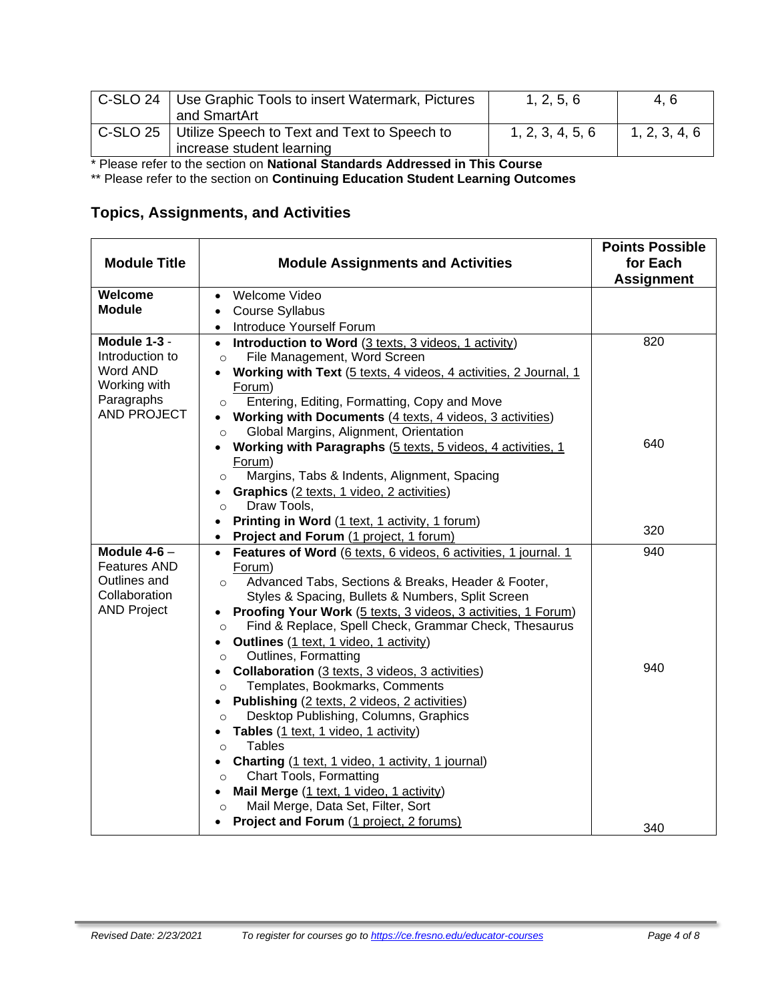| C-SLO 24   Use Graphic Tools to insert Watermark, Pictures | 1, 2, 5, 6       | 4.6           |
|------------------------------------------------------------|------------------|---------------|
| and SmartArt                                               |                  |               |
| C-SLO 25   Utilize Speech to Text and Text to Speech to    | 1, 2, 3, 4, 5, 6 | 1, 2, 3, 4, 6 |
| increase student learning                                  |                  |               |

\* Please refer to the section on **National Standards Addressed in This Course**

\*\* Please refer to the section on **Continuing Education Student Learning Outcomes**

# **Topics, Assignments, and Activities**

| <b>Module Title</b>                                                                      | <b>Module Assignments and Activities</b>                                                                                                                                                                                                                                                                                                                                                                                                                                                                                                                                                                                                                                                                                     | <b>Points Possible</b><br>for Each<br><b>Assignment</b> |
|------------------------------------------------------------------------------------------|------------------------------------------------------------------------------------------------------------------------------------------------------------------------------------------------------------------------------------------------------------------------------------------------------------------------------------------------------------------------------------------------------------------------------------------------------------------------------------------------------------------------------------------------------------------------------------------------------------------------------------------------------------------------------------------------------------------------------|---------------------------------------------------------|
| Welcome<br><b>Module</b>                                                                 | • Welcome Video<br><b>Course Syllabus</b><br>$\bullet$                                                                                                                                                                                                                                                                                                                                                                                                                                                                                                                                                                                                                                                                       |                                                         |
|                                                                                          | Introduce Yourself Forum<br>$\bullet$                                                                                                                                                                                                                                                                                                                                                                                                                                                                                                                                                                                                                                                                                        |                                                         |
| Module 1-3 -<br>Introduction to<br>Word AND<br>Working with<br>Paragraphs<br>AND PROJECT | Introduction to Word (3 texts, 3 videos, 1 activity)<br>$\bullet$<br>File Management, Word Screen<br>$\Omega$<br>Working with Text (5 texts, 4 videos, 4 activities, 2 Journal, 1<br>Forum)<br>Entering, Editing, Formatting, Copy and Move<br>$\circ$<br>Working with Documents (4 texts, 4 videos, 3 activities)<br>$\bullet$<br>Global Margins, Alignment, Orientation<br>$\circ$<br>Working with Paragraphs (5 texts, 5 videos, 4 activities, 1                                                                                                                                                                                                                                                                          | 820<br>640                                              |
|                                                                                          | Forum)<br>Margins, Tabs & Indents, Alignment, Spacing<br>$\circ$<br>Graphics (2 texts, 1 video, 2 activities)<br>Draw Tools,<br>$\circ$<br>Printing in Word (1 text, 1 activity, 1 forum)<br>$\bullet$                                                                                                                                                                                                                                                                                                                                                                                                                                                                                                                       | 320                                                     |
| Module $4-6$ -                                                                           | Project and Forum (1 project, 1 forum)<br>$\bullet$                                                                                                                                                                                                                                                                                                                                                                                                                                                                                                                                                                                                                                                                          |                                                         |
| <b>Features AND</b><br>Outlines and<br>Collaboration<br><b>AND Project</b>               | • Features of Word (6 texts, 6 videos, 6 activities, 1 journal. 1<br>Forum)<br>Advanced Tabs, Sections & Breaks, Header & Footer,<br>$\circ$<br>Styles & Spacing, Bullets & Numbers, Split Screen<br>Proofing Your Work (5 texts, 3 videos, 3 activities, 1 Forum)<br>Find & Replace, Spell Check, Grammar Check, Thesaurus<br>$\circ$<br>Outlines (1 text, 1 video, 1 activity)<br>$\bullet$<br>Outlines, Formatting<br>$\circ$<br><b>Collaboration</b> (3 texts, 3 videos, 3 activities)<br>$\bullet$<br>Templates, Bookmarks, Comments<br>$\circ$<br>Publishing (2 texts, 2 videos, 2 activities)<br>Desktop Publishing, Columns, Graphics<br>$\circ$<br>Tables (1 text, 1 video, 1 activity)<br><b>Tables</b><br>$\circ$ | 940<br>940                                              |
|                                                                                          | Charting (1 text, 1 video, 1 activity, 1 journal)<br><b>Chart Tools, Formatting</b><br>$\circ$<br>Mail Merge (1 text, 1 video, 1 activity)<br>$\bullet$<br>Mail Merge, Data Set, Filter, Sort<br>$\circ$<br>Project and Forum (1 project, 2 forums)                                                                                                                                                                                                                                                                                                                                                                                                                                                                          | 340                                                     |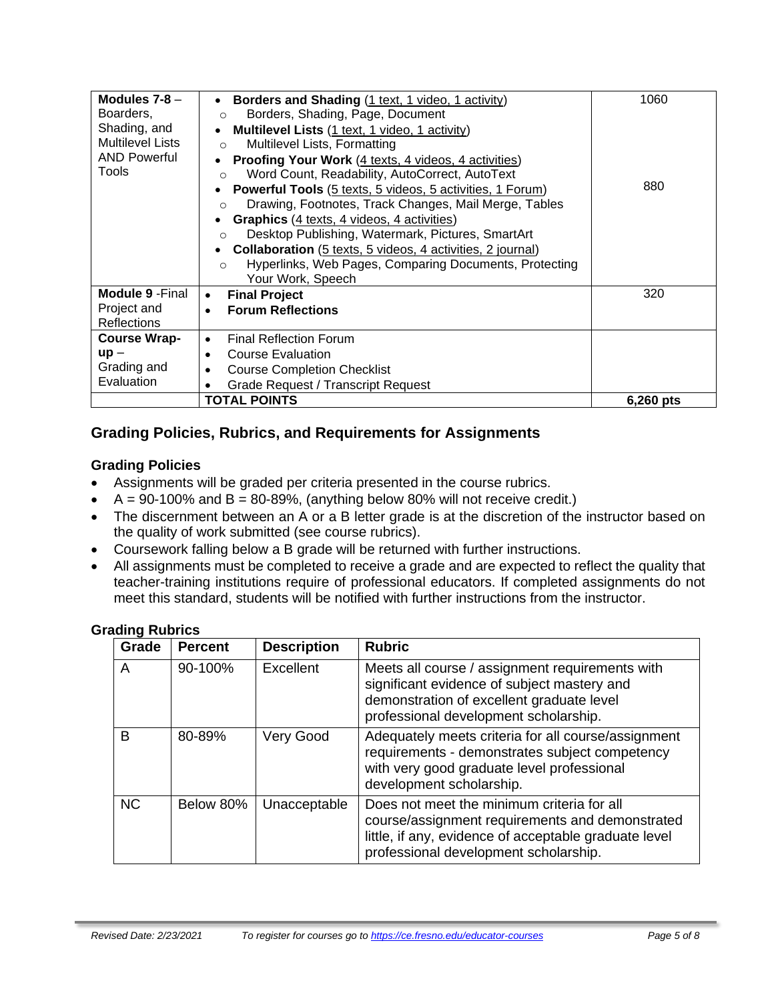| Modules $7 - 8 -$<br>Boarders,<br>Shading, and<br><b>Multilevel Lists</b><br><b>AND Powerful</b><br>Tools | <b>Borders and Shading (1 text, 1 video, 1 activity)</b><br>$\bullet$<br>Borders, Shading, Page, Document<br>$\circ$<br>Multilevel Lists (1 text, 1 video, 1 activity)<br>Multilevel Lists, Formatting<br>$\Omega$<br>Proofing Your Work (4 texts, 4 videos, 4 activities)<br>Word Count, Readability, AutoCorrect, AutoText<br>$\Omega$<br><b>Powerful Tools</b> (5 texts, 5 videos, 5 activities, 1 Forum)<br>Drawing, Footnotes, Track Changes, Mail Merge, Tables<br>$\circ$<br><b>Graphics</b> (4 texts, 4 videos, 4 activities)<br>Desktop Publishing, Watermark, Pictures, SmartArt<br>$\circ$<br><b>Collaboration</b> (5 texts, 5 videos, 4 activities, 2 journal)<br>Hyperlinks, Web Pages, Comparing Documents, Protecting<br>$\circ$<br>Your Work, Speech | 1060<br>880 |
|-----------------------------------------------------------------------------------------------------------|----------------------------------------------------------------------------------------------------------------------------------------------------------------------------------------------------------------------------------------------------------------------------------------------------------------------------------------------------------------------------------------------------------------------------------------------------------------------------------------------------------------------------------------------------------------------------------------------------------------------------------------------------------------------------------------------------------------------------------------------------------------------|-------------|
| <b>Module 9 - Final</b>                                                                                   | <b>Final Project</b><br>$\bullet$                                                                                                                                                                                                                                                                                                                                                                                                                                                                                                                                                                                                                                                                                                                                    | 320         |
| Project and                                                                                               | <b>Forum Reflections</b><br>$\bullet$                                                                                                                                                                                                                                                                                                                                                                                                                                                                                                                                                                                                                                                                                                                                |             |
| <b>Reflections</b>                                                                                        |                                                                                                                                                                                                                                                                                                                                                                                                                                                                                                                                                                                                                                                                                                                                                                      |             |
| <b>Course Wrap-</b>                                                                                       | <b>Final Reflection Forum</b><br>$\bullet$                                                                                                                                                                                                                                                                                                                                                                                                                                                                                                                                                                                                                                                                                                                           |             |
| $up -$                                                                                                    | Course Evaluation<br>$\bullet$                                                                                                                                                                                                                                                                                                                                                                                                                                                                                                                                                                                                                                                                                                                                       |             |
| Grading and                                                                                               | <b>Course Completion Checklist</b><br>$\bullet$                                                                                                                                                                                                                                                                                                                                                                                                                                                                                                                                                                                                                                                                                                                      |             |
| Evaluation                                                                                                | <b>Grade Request / Transcript Request</b><br>٠                                                                                                                                                                                                                                                                                                                                                                                                                                                                                                                                                                                                                                                                                                                       |             |
|                                                                                                           | <b>TOTAL POINTS</b>                                                                                                                                                                                                                                                                                                                                                                                                                                                                                                                                                                                                                                                                                                                                                  | 6,260 pts   |

# **Grading Policies, Rubrics, and Requirements for Assignments**

#### **Grading Policies**

- Assignments will be graded per criteria presented in the course rubrics.
- $A = 90-100\%$  and  $B = 80-89\%$ , (anything below 80% will not receive credit.)
- The discernment between an A or a B letter grade is at the discretion of the instructor based on the quality of work submitted (see course rubrics).
- Coursework falling below a B grade will be returned with further instructions.
- All assignments must be completed to receive a grade and are expected to reflect the quality that teacher-training institutions require of professional educators. If completed assignments do not meet this standard, students will be notified with further instructions from the instructor.

| <b>Grading Rubrics</b> |  |
|------------------------|--|
|------------------------|--|

| Grade     | <b>Percent</b> | <b>Description</b> | <b>Rubric</b>                                                                                                                                                                                   |
|-----------|----------------|--------------------|-------------------------------------------------------------------------------------------------------------------------------------------------------------------------------------------------|
| A         | 90-100%        | Excellent          | Meets all course / assignment requirements with<br>significant evidence of subject mastery and<br>demonstration of excellent graduate level<br>professional development scholarship.            |
| B         | 80-89%         | Very Good          | Adequately meets criteria for all course/assignment<br>requirements - demonstrates subject competency<br>with very good graduate level professional<br>development scholarship.                 |
| <b>NC</b> | Below 80%      | Unacceptable       | Does not meet the minimum criteria for all<br>course/assignment requirements and demonstrated<br>little, if any, evidence of acceptable graduate level<br>professional development scholarship. |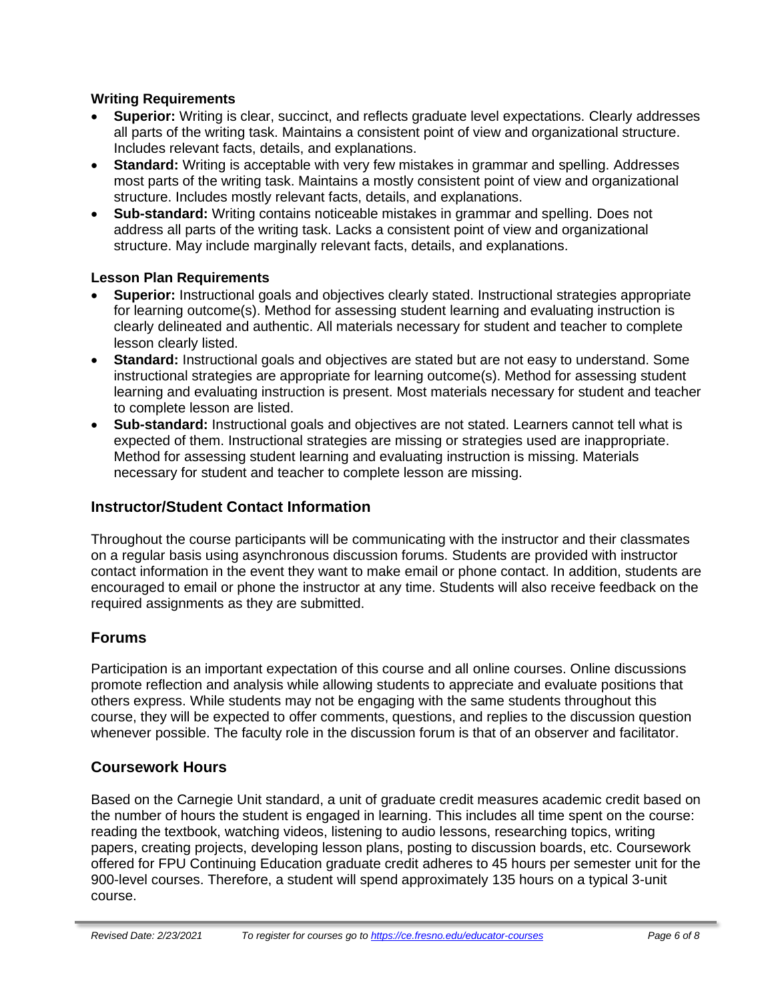#### **Writing Requirements**

- **Superior:** Writing is clear, succinct, and reflects graduate level expectations. Clearly addresses all parts of the writing task. Maintains a consistent point of view and organizational structure. Includes relevant facts, details, and explanations.
- **Standard:** Writing is acceptable with very few mistakes in grammar and spelling. Addresses most parts of the writing task. Maintains a mostly consistent point of view and organizational structure. Includes mostly relevant facts, details, and explanations.
- **Sub-standard:** Writing contains noticeable mistakes in grammar and spelling. Does not address all parts of the writing task. Lacks a consistent point of view and organizational structure. May include marginally relevant facts, details, and explanations.

#### **Lesson Plan Requirements**

- **Superior:** Instructional goals and objectives clearly stated. Instructional strategies appropriate for learning outcome(s). Method for assessing student learning and evaluating instruction is clearly delineated and authentic. All materials necessary for student and teacher to complete lesson clearly listed.
- **Standard:** Instructional goals and objectives are stated but are not easy to understand. Some instructional strategies are appropriate for learning outcome(s). Method for assessing student learning and evaluating instruction is present. Most materials necessary for student and teacher to complete lesson are listed.
- **Sub-standard:** Instructional goals and objectives are not stated. Learners cannot tell what is expected of them. Instructional strategies are missing or strategies used are inappropriate. Method for assessing student learning and evaluating instruction is missing. Materials necessary for student and teacher to complete lesson are missing.

# **Instructor/Student Contact Information**

Throughout the course participants will be communicating with the instructor and their classmates on a regular basis using asynchronous discussion forums. Students are provided with instructor contact information in the event they want to make email or phone contact. In addition, students are encouraged to email or phone the instructor at any time. Students will also receive feedback on the required assignments as they are submitted.

# **Forums**

Participation is an important expectation of this course and all online courses. Online discussions promote reflection and analysis while allowing students to appreciate and evaluate positions that others express. While students may not be engaging with the same students throughout this course, they will be expected to offer comments, questions, and replies to the discussion question whenever possible. The faculty role in the discussion forum is that of an observer and facilitator.

# **Coursework Hours**

Based on the Carnegie Unit standard, a unit of graduate credit measures academic credit based on the number of hours the student is engaged in learning. This includes all time spent on the course: reading the textbook, watching videos, listening to audio lessons, researching topics, writing papers, creating projects, developing lesson plans, posting to discussion boards, etc. Coursework offered for FPU Continuing Education graduate credit adheres to 45 hours per semester unit for the 900-level courses. Therefore, a student will spend approximately 135 hours on a typical 3-unit course.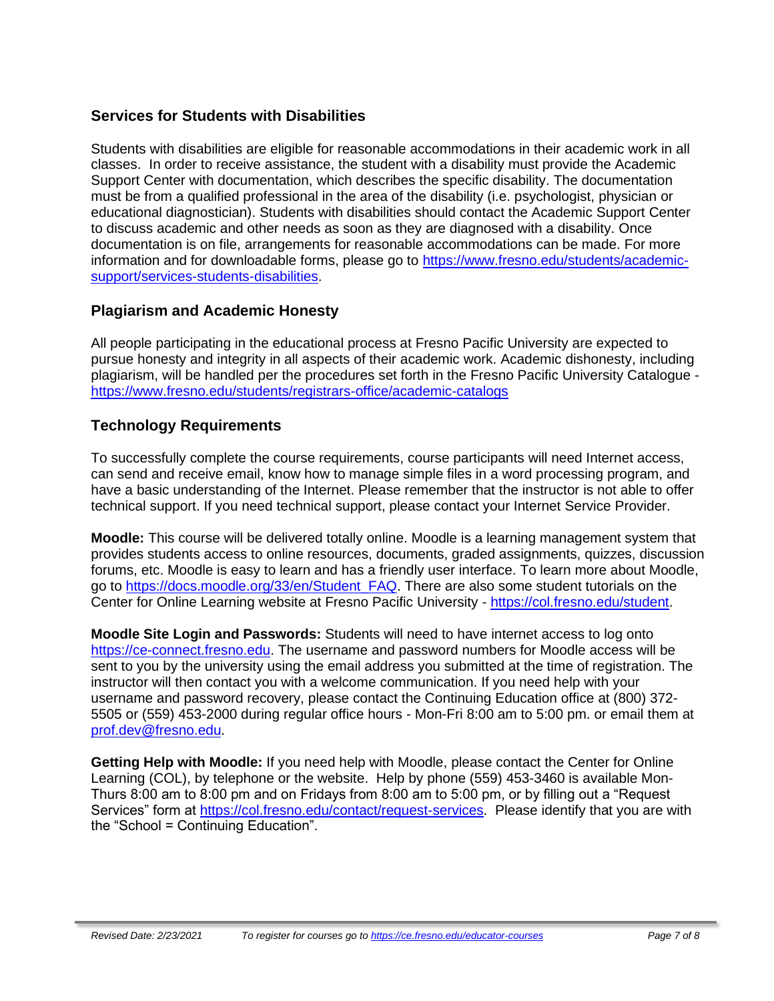# **Services for Students with Disabilities**

Students with disabilities are eligible for reasonable accommodations in their academic work in all classes. In order to receive assistance, the student with a disability must provide the Academic Support Center with documentation, which describes the specific disability. The documentation must be from a qualified professional in the area of the disability (i.e. psychologist, physician or educational diagnostician). Students with disabilities should contact the Academic Support Center to discuss academic and other needs as soon as they are diagnosed with a disability. Once documentation is on file, arrangements for reasonable accommodations can be made. For more information and for downloadable forms, please go to [https://www.fresno.edu/students/academic](https://www.fresno.edu/students/academic-support/services-students-disabilities)[support/services-students-disabilities.](https://www.fresno.edu/students/academic-support/services-students-disabilities)

# **Plagiarism and Academic Honesty**

All people participating in the educational process at Fresno Pacific University are expected to pursue honesty and integrity in all aspects of their academic work. Academic dishonesty, including plagiarism, will be handled per the procedures set forth in the Fresno Pacific University Catalogue <https://www.fresno.edu/students/registrars-office/academic-catalogs>

# **Technology Requirements**

To successfully complete the course requirements, course participants will need Internet access, can send and receive email, know how to manage simple files in a word processing program, and have a basic understanding of the Internet. Please remember that the instructor is not able to offer technical support. If you need technical support, please contact your Internet Service Provider.

**Moodle:** This course will be delivered totally online. Moodle is a learning management system that provides students access to online resources, documents, graded assignments, quizzes, discussion forums, etc. Moodle is easy to learn and has a friendly user interface. To learn more about Moodle, go to [https://docs.moodle.org/33/en/Student\\_FAQ.](https://docs.moodle.org/33/en/Student_FAQ) There are also some student tutorials on the Center for Online Learning website at Fresno Pacific University - [https://col.fresno.edu/student.](https://col.fresno.edu/student)

**Moodle Site Login and Passwords:** Students will need to have internet access to log onto [https://ce-connect.fresno.edu.](https://ce-connect.fresno.edu/) The username and password numbers for Moodle access will be sent to you by the university using the email address you submitted at the time of registration. The instructor will then contact you with a welcome communication. If you need help with your username and password recovery, please contact the Continuing Education office at (800) 372- 5505 or (559) 453-2000 during regular office hours - Mon-Fri 8:00 am to 5:00 pm. or email them at [prof.dev@fresno.edu.](mailto:prof.dev@fresno.edu)

**Getting Help with Moodle:** If you need help with Moodle, please contact the Center for Online Learning (COL), by telephone or the website. Help by phone (559) 453-3460 is available Mon-Thurs 8:00 am to 8:00 pm and on Fridays from 8:00 am to 5:00 pm, or by filling out a "Request Services" form at [https://col.fresno.edu/contact/request-services.](https://col.fresno.edu/contact/request-services) Please identify that you are with the "School = Continuing Education".